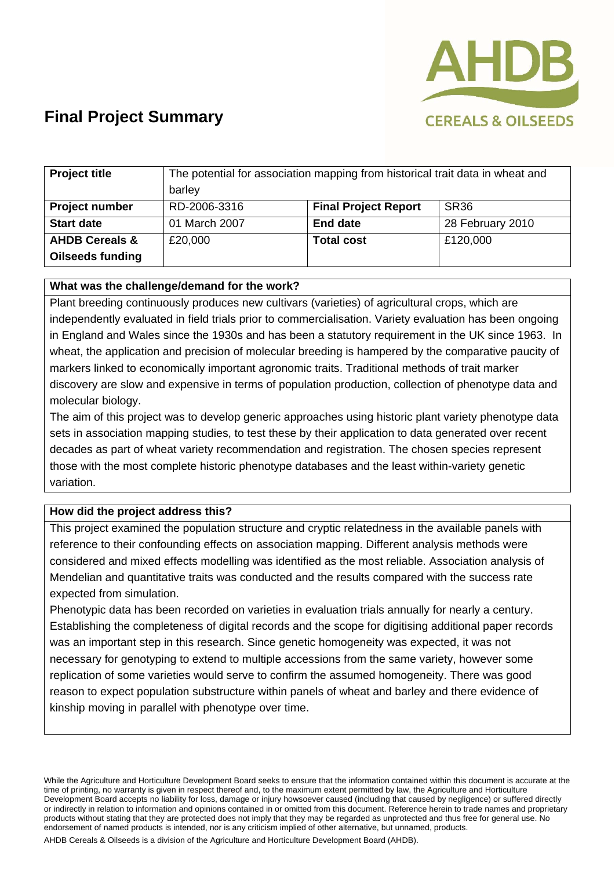

# **Final Project Summary**

| <b>Project title</b>      | The potential for association mapping from historical trait data in wheat and |                             |                  |
|---------------------------|-------------------------------------------------------------------------------|-----------------------------|------------------|
|                           | barley                                                                        |                             |                  |
| <b>Project number</b>     | RD-2006-3316                                                                  | <b>Final Project Report</b> | SR <sub>36</sub> |
| <b>Start date</b>         | 01 March 2007                                                                 | <b>End date</b>             | 28 February 2010 |
| <b>AHDB Cereals &amp;</b> | £20,000                                                                       | <b>Total cost</b>           | £120,000         |
| <b>Oilseeds funding</b>   |                                                                               |                             |                  |

#### **What was the challenge/demand for the work?**

Plant breeding continuously produces new cultivars (varieties) of agricultural crops, which are independently evaluated in field trials prior to commercialisation. Variety evaluation has been ongoing in England and Wales since the 1930s and has been a statutory requirement in the UK since 1963. In wheat, the application and precision of molecular breeding is hampered by the comparative paucity of markers linked to economically important agronomic traits. Traditional methods of trait marker discovery are slow and expensive in terms of population production, collection of phenotype data and molecular biology.

The aim of this project was to develop generic approaches using historic plant variety phenotype data sets in association mapping studies, to test these by their application to data generated over recent decades as part of wheat variety recommendation and registration. The chosen species represent those with the most complete historic phenotype databases and the least within-variety genetic variation.

### **How did the project address this?**

This project examined the population structure and cryptic relatedness in the available panels with reference to their confounding effects on association mapping. Different analysis methods were considered and mixed effects modelling was identified as the most reliable. Association analysis of Mendelian and quantitative traits was conducted and the results compared with the success rate expected from simulation.

Phenotypic data has been recorded on varieties in evaluation trials annually for nearly a century. Establishing the completeness of digital records and the scope for digitising additional paper records was an important step in this research. Since genetic homogeneity was expected, it was not necessary for genotyping to extend to multiple accessions from the same variety, however some replication of some varieties would serve to confirm the assumed homogeneity. There was good reason to expect population substructure within panels of wheat and barley and there evidence of kinship moving in parallel with phenotype over time.

While the Agriculture and Horticulture Development Board seeks to ensure that the information contained within this document is accurate at the time of printing, no warranty is given in respect thereof and, to the maximum extent permitted by law, the Agriculture and Horticulture Development Board accepts no liability for loss, damage or injury howsoever caused (including that caused by negligence) or suffered directly or indirectly in relation to information and opinions contained in or omitted from this document. Reference herein to trade names and proprietary products without stating that they are protected does not imply that they may be regarded as unprotected and thus free for general use. No endorsement of named products is intended, nor is any criticism implied of other alternative, but unnamed, products. AHDB Cereals & Oilseeds is a division of the Agriculture and Horticulture Development Board (AHDB).